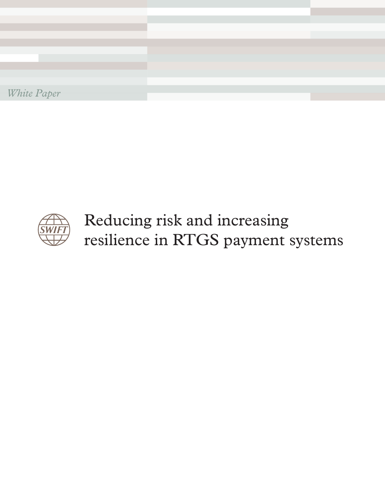



Reducing risk and increasing resilience in RTGS payment systems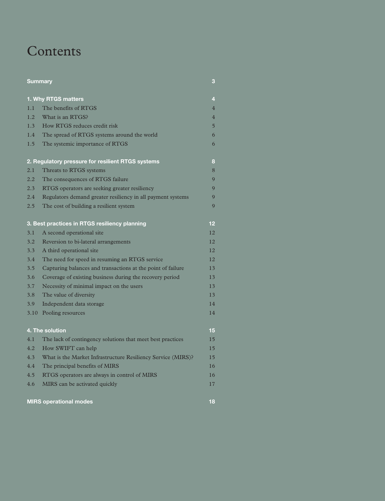# **Contents**

| <b>Summary</b>           |                                                              |                |  |  |
|--------------------------|--------------------------------------------------------------|----------------|--|--|
| 1. Why RTGS matters<br>4 |                                                              |                |  |  |
| 1.1                      | The benefits of RTGS                                         | $\overline{4}$ |  |  |
| 1.2                      | What is an RTGS?                                             | $\overline{4}$ |  |  |
| 1.3                      | How RTGS reduces credit risk                                 | $\overline{5}$ |  |  |
| 1.4                      | The spread of RTGS systems around the world                  | 6              |  |  |
| 1.5                      | The systemic importance of RTGS                              | 6              |  |  |
|                          | 2. Regulatory pressure for resilient RTGS systems            | 8              |  |  |
| 2.1                      | Threats to RTGS systems                                      | 8              |  |  |
| 2.2                      | The consequences of RTGS failure                             | $\overline{Q}$ |  |  |
| 2.3                      | RTGS operators are seeking greater resiliency                | 9              |  |  |
| 2.4                      | Regulators demand greater resiliency in all payment systems  | 9              |  |  |
| 2.5                      | The cost of building a resilient system                      | $\mathbf Q$    |  |  |
|                          | 3. Best practices in RTGS resiliency planning                | 12             |  |  |
| 3.1                      | A second operational site                                    | 12             |  |  |
| 3.2                      | Reversion to bi-lateral arrangements                         | 12             |  |  |
| 3.3                      | A third operational site                                     | 12             |  |  |
| 3.4                      | The need for speed in resuming an RTGS service               | 12             |  |  |
| 3.5                      | Capturing balances and transactions at the point of failure  | 13             |  |  |
| 3.6                      | Coverage of existing business during the recovery period     | 13             |  |  |
| 3.7                      | Necessity of minimal impact on the users                     | 13             |  |  |
| 3.8                      | The value of diversity                                       | 13             |  |  |
| 3.9                      | Independent data storage                                     | 14             |  |  |
| 3.10                     | Pooling resources                                            | 14             |  |  |
|                          | 4. The solution                                              | 15             |  |  |
| 4.1                      | The lack of contingency solutions that meet best practices   | 15             |  |  |
| 4.2                      | How SWIFT can help                                           | 15             |  |  |
| 4.3                      | What is the Market Infrastructure Resiliency Service (MIRS)? | 15             |  |  |
| 4.4                      | The principal benefits of MIRS                               | 16             |  |  |
| 4.5                      | RTGS operators are always in control of MIRS                 | 16             |  |  |
| 4.6                      | MIRS can be activated quickly                                | 17             |  |  |
|                          | <b>MIRS operational modes</b>                                | 18             |  |  |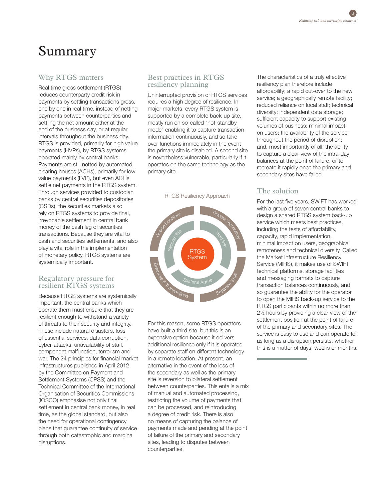# Summary

## Why RTGS matters

Real time gross settlement (RTGS) reduces counterparty credit risk in payments by settling transactions gross, one by one in real time, instead of netting payments between counterparties and settling the net amount either at the end of the business day, or at regular intervals throughout the business day. RTGS is provided, primarily for high value payments (HVPs), by RTGS systems operated mainly by central banks. Payments are still netted by automated clearing houses (ACHs), primarily for low value payments (LVP), but even ACHs settle net payments in the RTGS system. Through services provided to custodian banks by central securities depositories (CSDs), the securities markets also rely on RTGS systems to provide final, irrevocable settlement in central bank money of the cash leg of securities transactions. Because they are vital to cash and securities settlements, and also play a vital role in the implementation of monetary policy, RTGS systems are systemically important.

#### Regulatory pressure for resilient RTGS systems

Because RTGS systems are systemically important, the central banks which operate them must ensure that they are resilient enough to withstand a variety of threats to their security and integrity. These include natural disasters, loss of essential services, data corruption, cyber-attacks, unavailability of staff, component malfunction, terrorism and war. The 24 principles for financial market infrastructures published in April 2012 by the Committee on Payment and Settlement Systems (CPSS) and the Technical Committee of the International Organisation of Securities Commissions (IOSCO) emphasise not only final settlement in central bank money, in real time, as the global standard, but also the need for operational contingency plans that guarantee continuity of service through both catastrophic and marginal disruptions.

# Best practices in RTGS resiliency planning

Uninterrupted provision of RTGS services requires a high degree of resilience. In major markets, every RTGS system is supported by a complete back-up site, mostly run on so-called "hot-standby mode" enabling it to capture transaction information continuously, and so take over functions immediately in the event the primary site is disabled. A second site is nevertheless vulnerable, particularly if it operates on the same technology as the primary site.

RTGS Resiliency Approach



For this reason, some RTGS operators have built a third site, but this is an expensive option because it delivers additional resilience only if it is operated by separate staff on different technology in a remote location. At present, an alternative in the event of the loss of the secondary as well as the primary site is reversion to bilateral settlement between counterparties. This entails a mix of manual and automated processing, restricting the volume of payments that can be processed, and reintroducing a degree of credit risk. There is also no means of capturing the balance of payments made and pending at the point of failure of the primary and secondary sites, leading to disputes between counterparties.

The characteristics of a truly effective resiliency plan therefore include affordability; a rapid cut-over to the new service; a geographically remote facility; reduced reliance on local staff; technical diversity; independent data storage; sufficient capacity to support existing volumes of business; minimal impact on users; the availability of the service throughout the period of disruption; and, most importantly of all, the ability to capture a clear view of the intra-day balances at the point of failure, or to recreate it rapidly once the primary and secondary sites have failed.

# The solution

For the last five years, SWIFT has worked with a group of seven central banks to design a shared RTGS system back-up service which meets best practices, including the tests of affordability, capacity, rapid implementation, minimal impact on users, geographical remoteness and technical diversity. Called the Market Infrastructure Resiliency Service (MIRS), it makes use of SWIFT technical platforms, storage facilities and messaging formats to capture transaction balances continuously, and so guarantee the ability for the operator to open the MIRS back-up service to the RTGS participants within no more than 2½ hours by providing a clear view of the settlement position at the point of failure of the primary and secondary sites. The service is easy to use and can operate for as long as a disruption persists, whether this is a matter of days, weeks or months.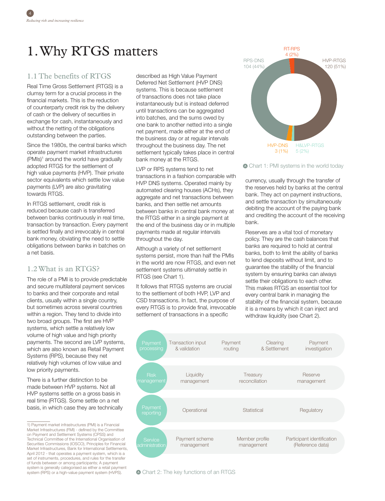# 1. Why RTGS matters

# 1.1 The benefits of RTGS

Real Time Gross Settlement (RTGS) is a clumsy term for a crucial process in the financial markets. This is the reduction of counterparty credit risk by the delivery of cash or the delivery of securities in exchange for cash, instantaneously and without the netting of the obligations outstanding between the parties.

Since the 1980s, the central banks which operate payment market infrastructures (PMIs)<sup>1</sup> around the world have gradually adopted RTGS for the settlement of high value payments (HVP). Their private sector equivalents which settle low value payments (LVP) are also gravitating towards RTGS.

In RTGS settlement, credit risk is reduced because cash is transferred between banks continuously in real time, transaction by transaction. Every payment is settled finally and irrevocably in central bank money, obviating the need to settle obligations between banks in batches on a net basis.

# 1.2 What is an RTGS?

The role of a PMI is to provide predictable and secure multilateral payment services to banks and their corporate and retail clients, usually within a single country, but sometimes across several countries within a region. They tend to divide into two broad groups. The first are HVP systems, which settle a relatively low volume of high value and high priority payments. The second are LVP systems, which are also known as Retail Payment Systems (RPS), because they net relatively high volumes of low value and low priority payments.

There is a further distinction to be made between HVP systems. Not all HVP systems settle on a gross basis in real time (RTGS). Some settle on a net basis, in which case they are technically described as High Value Payment Deferred Net Settlement (HVP DNS) systems. This is because settlement of transactions does not take place instantaneously but is instead deferred until transactions can be aggregated into batches, and the sums owed by one bank to another netted into a single net payment, made either at the end of the business day or at regular intervals throughout the business day. The net settlement typically takes place in central bank money at the RTGS.

LVP or RPS systems tend to net transactions in a fashion comparable with HVP DNS systems. Operated mainly by automated clearing houses (ACHs), they aggregate and net transactions between banks, and then settle net amounts between banks in central bank money at the RTGS either in a single payment at the end of the business day or in multiple payments made at regular intervals throughout the day.

Although a variety of net settlement systems persist, more than half the PMIs in the world are now RTGS, and even net settlement systems ultimately settle in RTGS (see Chart 1).

It follows that RTGS systems are crucial to the settlement of both HVP, LVP and CSD transactions. In fact, the purpose of every RTGS is to provide final, irrevocable settlement of transactions in a specific



Chart 1: PMI systems in the world today

currency, usually through the transfer of the reserves held by banks at the central bank. They act on payment instructions, and settle transaction by simultaneously debiting the account of the paying bank and crediting the account of the receiving bank.

Reserves are a vital tool of monetary policy. They are the cash balances that banks are required to hold at central banks, both to limit the ability of banks to lend deposits without limit, and to guarantee the stability of the financial system by ensuring banks can always settle their obligations to each other. This makes RTGS an essential tool for every central bank in managing the stability of the financial system, because it is a means by which it can inject and withdraw liquidity (see Chart 2).





<sup>1)</sup> Payment market infrastructures (PMI) is a Financial Market Infrastructures (FMI) - defined by the Committee on Payment and Settlement Systems (CPSS) and Technical Committee of the International Organisation of Securities Commissions (IOSCO), Principles for Financial Market Infrastructures, Bank for International Settlements, April 2012 - that operates a payment system, which is a set of instruments, procedures, and rules for the transfer of funds between or among participants; A payment system is generally categorised as either a retail payment system (RPS) or a high-value payment system (HVPS).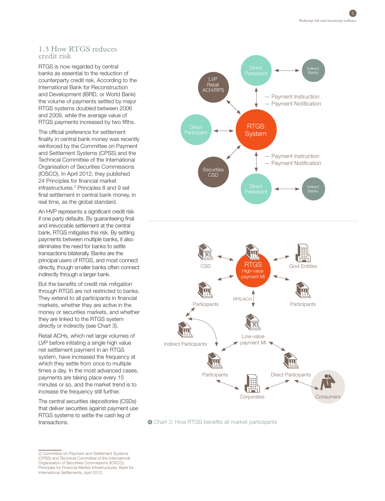#### 1.3 How RTGS reduces credit risk

RTGS is now regarded by central banks as essential to the reduction of counterparty credit risk. According to the International Bank for Reconstruction and Development (IBRD, or World Bank) the volume of payments settled by major RTGS systems doubled between 2006 and 2009, while the average value of RTGS payments increased by two fifths.

The official preference for settlement finality in central bank money was recently reinforced by the Committee on Payment and Settlement Systems (CPSS) and the Technical Committee of the International Organisation of Securities Commissions (IOSCO). In April 2012, they published 24 Principles for financial market infrastructures.2 Principles 8 and 9 set final settlement in central bank money, in real time, as the global standard.

An HVP represents a significant credit risk if one party defaults. By guaranteeing final and irrevocable settlement at the central bank, RTGS mitigates this risk. By settling payments between multiple banks, it also eliminates the need for banks to settle transactions bilaterally. Banks are the principal users of RTGS, and most connect directly, though smaller banks often connect indirectly through a larger bank.

But the benefits of credit risk mitigation through RTGS are not restricted to banks. They extend to all participants in financial markets, whether they are active in the money or securities markets, and whether they are linked to the RTGS system directly or indirectly (see Chart 3).

Retail ACHs, which net large volumes of LVP before initiating a single high value net settlement payment in an RTGS system, have increased the frequency at which they settle from once to multiple times a day. In the most advanced cases, payments are taking place every 15 minutes or so, and the market trend is to increase the frequency still further.

The central securities depositories (CSDs) that deliver securities against payment use RTGS systems to settle the cash leg of transactions.





Chart 3: How RTGS benefits all market participants

2) Committee on Payment and Settlement Systems (CPSS) and Technical Committee of the International Organisation of Securities Commissions (IOSCO), Principles for Financial Market Infrastructures, Bank for International Settlements, April 2012.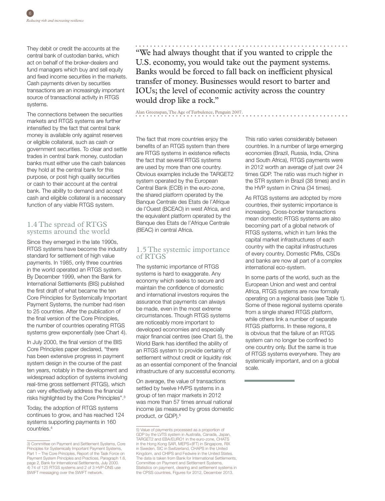They debit or credit the accounts at the central bank of custodian banks, which act on behalf of the broker-dealers and fund managers which buy and sell equity and fixed income securities in the markets. Cash payments driven by securities transactions are an increasingly important source of transactional activity in RTGS systems.

The connections between the securities markets and RTGS systems are further intensified by the fact that central bank money is available only against reserves or eligible collateral, such as cash or government securities. To clear and settle trades in central bank money, custodian banks must either use the cash balances they hold at the central bank for this purpose, or post high quality securities or cash to their account at the central bank. The ability to demand and accept cash and eligible collateral is a necessary function of any viable RTGS system.

# 1.4 The spread of RTGS systems around the world

Since they emerged in the late 1990s, RTGS systems have become the industry standard for settlement of high value payments. In 1985, only three countries in the world operated an RTGS system. By December 1999, when the Bank for International Settlements (BIS) published the first draft of what became the ten Core Principles for Systemically Important Payment Systems, the number had risen to 25 countries. After the publication of the final version of the Core Principles, the number of countries operating RTGS systems grew exponentially (see Chart 4).

In July 2000, the final version of the BIS Core Principles paper declared, "there has been extensive progress in payment system design in the course of the past ten years, notably in the development and widespread adoption of systems involving real-time gross settlement (RTGS), which can very effectively address the financial risks highlighted by the Core Principles".3

Today, the adoption of RTGS systems continues to grow, and has reached 124 systems supporting payments in 160 countries.4

"We had always thought that if you wanted to cripple the U.S. economy, you would take out the payment systems. Banks would be forced to fall back on inefficient physical transfer of money. Businesses would resort to barter and IOUs; the level of economic activity across the country would drop like a rock."

### Alan Greenspan, The Age of Turbulence, Penguin 2007.

The fact that more countries enjoy the benefits of an RTGS system than there are RTGS systems in existence reflects the fact that several RTGS systems are used by more than one country. Obvious examples include the TARGET2 system operated by the European Central Bank (ECB) in the euro-zone, the shared platform operated by the Banque Centrale des Etats de l'Afrique de l'Ouest (BCEAO) in west Africa, and the equivalent platform operated by the Banque des Etats de l'Afrique Centrale (BEAC) in central Africa.

### 1.5 The systemic importance of RTGS

The systemic importance of RTGS systems is hard to exaggerate. Any economy which seeks to secure and maintain the confidence of domestic and international investors requires the assurance that payments can always be made, even in the most extreme circumstances. Though RTGS systems are noticeably more important to developed economies and especially major financial centres (see Chart 5), the World Bank has identified the ability of an RTGS system to provide certainty of settlement without credit or liquidity risk as an essential component of the financial infrastructure of any successful economy.

On average, the value of transactions settled by twelve HVPS systems in a group of ten major markets in 2012 was more than 57 times annual national income (as measured by gross domestic product, or GDP).<sup>5</sup>

This ratio varies considerably between countries. In a number of large emerging economies (Brazil, Russia, India, China and South Africa), RTGS payments were in 2012 worth an average of just over 24 times GDP. The ratio was much higher in the STR system in Brazil (38 times) and in the HVP system in China (34 times).

As RTGS systems are adopted by more countries, their systemic importance is increasing. Cross-border transactions mean domestic RTGS systems are also becoming part of a global network of RTGS systems, which in turn links the capital market infrastructures of each country with the capital infrastructures of every country. Domestic PMIs, CSDs and banks are now all part of a complex international eco-system.

In some parts of the world, such as the European Union and west and central Africa, RTGS systems are now formally operating on a regional basis (see Table 1). Some of these regional systems operate from a single shared RTGS platform, while others link a number of separate RTGS platforms. In these regions, it is obvious that the failure of an RTGS system can no longer be confined to one country only. But the same is true of RTGS systems everywhere. They are systemically important, and on a global scale.

<sup>3)</sup> Committee on Payment and Settlement Systems, Core Principles for Systemically Important Payment Systems, Part 1 – The Core Principles, Report of the Task Force on Payment System Principles and Practices, Paragraph 1.6, page 2, Bank for International Settlements, July 2000. 4) 74 of 125 RTGS systems and 2 of 3 HVP-DNS use SWIFT messaging over the SWIFT network.

<sup>5)</sup> Value of payments processed as a proportion of GDP by the LVTS system in Australia, Canada, Japan, TARGET2 and EBA/EURO1 in the euro-zone, CHATS in the Hong Kong SAR, MEPS+(IFT) in Singapore, RIX in Sweden, SIC in Switzerland, CHAPS in the United Kingdom, and CHIPS and Fedwire in the United States. The data is taken from Bank for International Settlements, Committee on Payment and Settlement Systems, Statistics on payment, clearing and settlement systems in the CPSS countries, Figures for 2012, December 2013.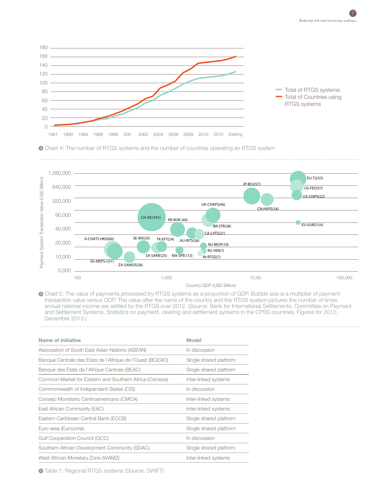





Chart 5: The value of payments processed by RTGS systems as a proportion of GDP. Bubble size is a multiplier of payment transaction value versus GDP. The value after the name of the country and the RTGS system pictures the number of times annual national income are settled by the RTGS over 2012. (Source: Bank for International Settlements, Committee on Payment and Settlement Systems, Statistics on payment, clearing and settlement systems in the CPSS countries, Figures for 2012, December 2013.)

| Name of initiative                                        | Model                  |  |
|-----------------------------------------------------------|------------------------|--|
| Association of South East Asian Nations (ASEAN)           | In discussion          |  |
| Banque Centrale des Etats de l'Afrique de l'Ouest (BCEAO) | Single shared platform |  |
| Banque des Etats de l'Afrique Centrale (BEAC)             | Single shared platform |  |
| Common Market for Eastern and Southern Africa (Comesa)    | Inter-linked systems   |  |
| Commonwealth of Independent States (CIS)                  | In discussion          |  |
| Consejo Monetario Centroamericano (CMCA)                  | Inter-linked systems   |  |
| East African Community (EAC)                              | Inter-linked systems   |  |
| Eastern Caribbean Central Bank (ECCB)                     | Single shared platform |  |
| Euro area (Eurozone)                                      | Single shared platform |  |
| Gulf Cooperation Council (GCC)                            | In discussion          |  |
| Southern African Development Community (SDAC)             | Single shared platform |  |
| West African Monetary Zone (WAMZ)                         | Inter-linked systems   |  |

Table 1: Regional RTGS systems (Source: SWIFT)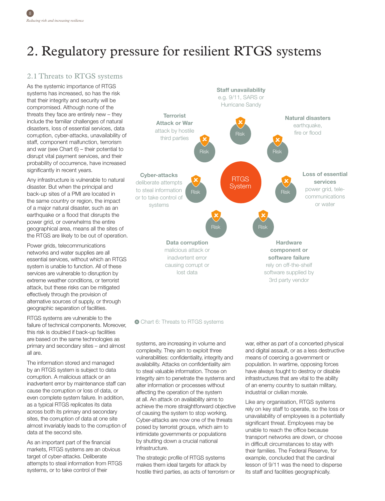# 2. Regulatory pressure for resilient RTGS systems

# 2.1 Threats to RTGS systems

As the systemic importance of RTGS systems has increased, so has the risk that their integrity and security will be compromised. Although none of the threats they face are entirely new – they include the familiar challenges of natural disasters, loss of essential services, data corruption, cyber-attacks, unavailability of staff, component malfunction, terrorism and war (see Chart 6) – their potential to disrupt vital payment services, and their probability of occurrence, have increased significantly in recent years.

Any infrastructure is vulnerable to natural disaster. But when the principal and back-up sites of a PMI are located in the same country or region, the impact of a major natural disaster, such as an earthquake or a flood that disrupts the power grid, or overwhelms the entire geographical area, means all the sites of the RTGS are likely to be out of operation.

Power grids, telecommunications networks and water supplies are all essential services, without which an RTGS system is unable to function. All of these services are vulnerable to disruption by extreme weather conditions, or terrorist attack, but these risks can be mitigated effectively through the provision of alternative sources of supply, or through geographic separation of facilities.

RTGS systems are vulnerable to the failure of technical components. Moreover, this risk is doubled if back-up facilities are based on the same technologies as primary and secondary sites – and almost all are.

The information stored and managed by an RTGS system is subject to data corruption. A malicious attack or an inadvertent error by maintenance staff can cause the corruption or loss of data, or even complete system failure. In addition, as a typical RTGS replicates its data across both its primary and secondary sites, the corruption of data at one site almost invariably leads to the corruption of data at the second site.

As an important part of the financial markets, RTGS systems are an obvious target of cyber-attacks. Deliberate attempts to steal information from RTGS systems, or to take control of their



#### Chart 6: Threats to RTGS systems

systems, are increasing in volume and complexity. They aim to exploit three vulnerabilities: confidentiality, integrity and availability. Attacks on confidentiality aim to steal valuable information. Those on integrity aim to penetrate the systems and alter information or processes without affecting the operation of the system at all. An attack on availability aims to achieve the more straightforward objective of causing the system to stop working. Cyber-attacks are now one of the threats posed by terrorist groups, which aim to intimidate governments or populations by shutting down a crucial national infrastructure.

The strategic profile of RTGS systems makes them ideal targets for attack by hostile third parties, as acts of terrorism or war, either as part of a concerted physical and digital assault, or as a less destructive means of coercing a government or population. In wartime, opposing forces have always fought to destroy or disable infrastructures that are vital to the ability of an enemy country to sustain military, industrial or civilian morale.

Like any organisation, RTGS systems rely on key staff to operate, so the loss or unavailability of employees is a potentially significant threat. Employees may be unable to reach the office because transport networks are down, or choose in difficult circumstances to stay with their families. The Federal Reserve, for example, concluded that the cardinal lesson of 9/11 was the need to disperse its staff and facilities geographically.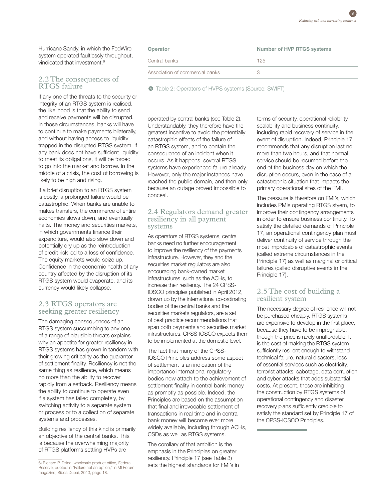Hurricane Sandy, in which the FedWire system operated faultlessly throughout, vindicated that investment.<sup>6</sup>

### 2.2 The consequences of RTGS failure

If any one of the threats to the security or integrity of an RTGS system is realised, the likelihood is that the ability to send and receive payments will be disrupted. In those circumstances, banks will have to continue to make payments bilaterally, and without having access to liquidity trapped in the disrupted RTGS system. If any bank does not have sufficient liquidity to meet its obligations, it will be forced to go into the market and borrow. In the middle of a crisis, the cost of borrowing is likely to be high and rising.

If a brief disruption to an RTGS system is costly, a prolonged failure would be catastrophic. When banks are unable to makes transfers, the commerce of entire economies slows down, and eventually halts. The money and securities markets, in which governments finance their expenditure, would also slow down and potentially dry up as the reintroduction of credit risk led to a loss of confidence. The equity markets would seize up. Confidence in the economic health of any country affected by the disruption of its RTGS system would evaporate, and its currency would likely collapse.

#### 2.3 RTGS operators are seeking greater resiliency

The damaging consequences of an RTGS system succumbing to any one of a range of plausible threats explains why an appetite for greater resiliency in RTGS systems has grown in tandem with their growing criticality as the guarantor of settlement finality. Resiliency is not the same thing as resilience, which means no more than the ability to recover rapidly from a setback. Resiliency means the ability to continue to operate even if a system has failed completely, by switching activity to a separate system or process or to a collection of separate systems and processes.

Building resiliency of this kind is primarily an objective of the central banks. This is because the overwhelming majority of RTGS platforms settling HVPs are

6) Richard P. Dzina, wholesale product office, Federal Reserve, quoted in "Failure not an option," in MI Forum magazine, Sibos Dubai, 2013, page 18.

| Operator                        | Number of HVP RTGS systems |  |  |
|---------------------------------|----------------------------|--|--|
| Central banks                   | 125                        |  |  |
| Association of commercial banks |                            |  |  |

 $\bullet$  Table 2: Operators of HVPS systems (Source: SWIFT)

operated by central banks (see Table 2). Understandably, they therefore have the greatest incentive to avoid the potentially catastrophic effects of the failure of an RTGS system, and to contain the consequence of an incident when it occurs. As it happens, several RTGS systems have experienced failure already. However, only the major instances have reached the public domain, and then only because an outage proved impossible to conceal.

#### 2.4 Regulators demand greater resiliency in all payment systems

As operators of RTGS systems, central banks need no further encouragement to improve the resiliency of the payments infrastructure. However, they and the securities market regulators are also encouraging bank-owned market infrastructures, such as the ACHs, to increase their resiliency. The 24 CPSS-IOSCO principles published in April 2012, drawn up by the international co-ordinating bodies of the central banks and the securities markets regulators, are a set of best practice recommendations that span both payments and securities market infrastructures. CPSS-IOSCO expects them to be implemented at the domestic level.

The fact that many of the CPSS-IOSCO Principles address some aspect of settlement is an indication of the importance international regulatory bodies now attach to the achievement of settlement finality in central bank money as promptly as possible. Indeed, the Principles are based on the assumption that final and irrevocable settlement of transactions in real time and in central bank money will become ever more widely available, including through ACHs, CSDs as well as RTGS systems.

The corollary of that ambition is the emphasis in the Principles on greater resiliency. Principle 17 (see Table 3) sets the highest standards for FMI's in terms of security, operational reliability, scalability and business continuity, including rapid recovery of service in the event of disruption. Indeed, Principle 17 recommends that any disruption last no more than two hours, and that normal service should be resumed before the end of the business day on which the disruption occurs, even in the case of a catastrophic situation that impacts the primary operational sites of the FMI.

The pressure is therefore on FMI's, which includes PMIs operating RTGS styem, to improve their contingency arrangements in order to ensure business continuity. To satisfy the detailed demands of Principle 17, an operational contingency plan must deliver continuity of service through the most improbable of catastrophic events (called extreme circumstances in the Principle 17) as well as marginal or critical failures (called disruptive events in the Principle 17).

## 2.5 The cost of building a resilient system

The necessary degree of resilience will not be purchased cheaply. RTGS systems are expensive to develop in the first place, because they have to be impregnable, though the price is rarely unaffordable. It is the cost of making the RTGS system sufficiently resilient enough to withstand technical failure, natural disasters, loss of essential services such as electricity, terrorist attacks, sabotage, data corruption and cyber-attacks that adds substantial costs. At present, these are inhibiting the construction by RTGS systems of operational contingency and disaster recovery plans sufficiently credible to satisfy the standard set by Principle 17 of the CPSS-IOSCO Principles.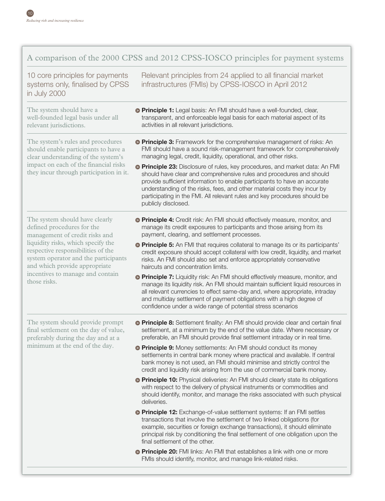# A comparison of the 2000 CPSS and 2012 CPSS-IOSCO principles for payment systems

10 core principles for payments systems only, finalised by CPSS in July 2000

Relevant principles from 24 applied to all financial market infrastructures (FMIs) by CPSS-IOSCO in April 2012

The system should have a well-founded legal basis under all relevant jurisdictions.

The system's rules and procedures should enable participants to have a clear understanding of the system's impact on each of the financial risks they incur through participation in it.

The system should have clearly defined procedures for the management of credit risks and liquidity risks, which specify the respective responsibilities of the system operator and the participants and which provide appropriate incentives to manage and contain those risks.

- **Principle 1:** Legal basis: An FMI should have a well-founded, clear, transparent, and enforceable legal basis for each material aspect of its activities in all relevant jurisdictions.
- **Principle 3:** Framework for the comprehensive management of risks: An FMI should have a sound risk-management framework for comprehensively managing legal, credit, liquidity, operational, and other risks.
- **Principle 23:** Disclosure of rules, key procedures, and market data: An FMI should have clear and comprehensive rules and procedures and should provide sufficient information to enable participants to have an accurate understanding of the risks, fees, and other material costs they incur by participating in the FMI. All relevant rules and key procedures should be publicly disclosed.
- **Principle 4:** Credit risk: An FMI should effectively measure, monitor, and manage its credit exposures to participants and those arising from its payment, clearing, and settlement processes.
- **Principle 5:** An FMI that requires collateral to manage its or its participants' credit exposure should accept collateral with low credit, liquidity, and market risks. An FMI should also set and enforce appropriately conservative haircuts and concentration limits.
- **Principle 7:** Liquidity risk: An FMI should effectively measure, monitor, and manage its liquidity risk. An FMI should maintain sufficient liquid resources in all relevant currencies to effect same-day and, where appropriate, intraday and multiday settlement of payment obligations with a high degree of confidence under a wide range of potential stress scenarios

The system should provide prompt final settlement on the day of value, preferably during the day and at a minimum at the end of the day.

- **Principle 8:** Settlement finality: An FMI should provide clear and certain final settlement, at a minimum by the end of the value date. Where necessary or preferable, an FMI should provide final settlement intraday or in real time.
- **Principle 9:** Money settlements: An FMI should conduct its money settlements in central bank money where practical and available. If central bank money is not used, an FMI should minimise and strictly control the credit and liquidity risk arising from the use of commercial bank money.
- **Principle 10:** Physical deliveries: An FMI should clearly state its obligations with respect to the delivery of physical instruments or commodities and should identify, monitor, and manage the risks associated with such physical deliveries.
- **Principle 12:** Exchange-of-value settlement systems: If an FMI settles transactions that involve the settlement of two linked obligations (for example, securities or foreign exchange transactions), it should eliminate principal risk by conditioning the final settlement of one obligation upon the final settlement of the other.
- **Principle 20:** FMI links: An FMI that establishes a link with one or more FMIs should identify, monitor, and manage link-related risks.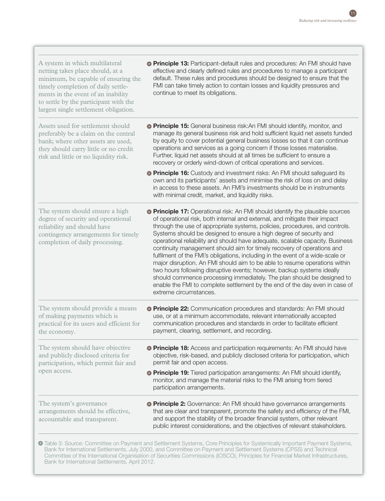| <b>Principle 13:</b> Participant-default rules and procedures: An FMI should have<br>effective and clearly defined rules and procedures to manage a participant<br>default. These rules and procedures should be designed to ensure that the<br>FMI can take timely action to contain losses and liquidity pressures and<br>continue to meet its obligations.                                                                                                                                                                                                                                                                                                                                                                                                                                                                                                                                                  |  |  |
|----------------------------------------------------------------------------------------------------------------------------------------------------------------------------------------------------------------------------------------------------------------------------------------------------------------------------------------------------------------------------------------------------------------------------------------------------------------------------------------------------------------------------------------------------------------------------------------------------------------------------------------------------------------------------------------------------------------------------------------------------------------------------------------------------------------------------------------------------------------------------------------------------------------|--|--|
| <b>Principle 15:</b> General business risk: An FMI should identify, monitor, and<br>manage its general business risk and hold sufficient liquid net assets funded<br>by equity to cover potential general business losses so that it can continue<br>operations and services as a going concern if those losses materialise.<br>Further, liquid net assets should at all times be sufficient to ensure a<br>recovery or orderly wind-down of critical operations and services.                                                                                                                                                                                                                                                                                                                                                                                                                                 |  |  |
| <b>Principle 16:</b> Custody and investment risks: An FMI should safeguard its<br>own and its participants' assets and minimise the risk of loss on and delay<br>in access to these assets. An FMI's investments should be in instruments<br>with minimal credit, market, and liquidity risks.                                                                                                                                                                                                                                                                                                                                                                                                                                                                                                                                                                                                                 |  |  |
| <b>Principle 17:</b> Operational risk: An FMI should identify the plausible sources<br>of operational risk, both internal and external, and mitigate their impact<br>through the use of appropriate systems, policies, procedures, and controls.<br>Systems should be designed to ensure a high degree of security and<br>operational reliability and should have adequate, scalable capacity. Business<br>continuity management should aim for timely recovery of operations and<br>fulfilment of the FMI's obligations, including in the event of a wide-scale or<br>major disruption. An FMI should aim to be able to resume operations within<br>two hours following disruptive events; however, backup systems ideally<br>should commence processing immediately. The plan should be designed to<br>enable the FMI to complete settlement by the end of the day even in case of<br>extreme circumstances. |  |  |
| <b>Principle 22:</b> Communication procedures and standards: An FMI should<br>use, or at a minimum accommodate, relevant internationally accepted<br>communication procedures and standards in order to facilitate efficient<br>payment, clearing, settlement, and recording.                                                                                                                                                                                                                                                                                                                                                                                                                                                                                                                                                                                                                                  |  |  |
| <b>• Principle 18:</b> Access and participation requirements: An FMI should have<br>objective, risk-based, and publicly disclosed criteria for participation, which<br>permit fair and open access.                                                                                                                                                                                                                                                                                                                                                                                                                                                                                                                                                                                                                                                                                                            |  |  |
| <b>• Principle 19:</b> Tiered participation arrangements: An FMI should identify,<br>monitor, and manage the material risks to the FMI arising from tiered<br>participation arrangements.                                                                                                                                                                                                                                                                                                                                                                                                                                                                                                                                                                                                                                                                                                                      |  |  |
| <b>Principle 2:</b> Governance: An FMI should have governance arrangements<br>that are clear and transparent, promote the safety and efficiency of the FMI,<br>and support the stability of the broader financial system, other relevant<br>public interest considerations, and the objectives of relevant stakeholders.                                                                                                                                                                                                                                                                                                                                                                                                                                                                                                                                                                                       |  |  |
|                                                                                                                                                                                                                                                                                                                                                                                                                                                                                                                                                                                                                                                                                                                                                                                                                                                                                                                |  |  |

Table 3: Source: Committee on Payment and Settlement Systems, Core Principles for Systemically Important Payment Systems, Bank for International Settlements, July 2000, and Committee on Payment and Settlement Systems (CPSS) and Technical Committee of the International Organisation of Securities Commissions (IOSCO), Principles for Financial Market Infrastructures, Bank for International Settlements, April 2012.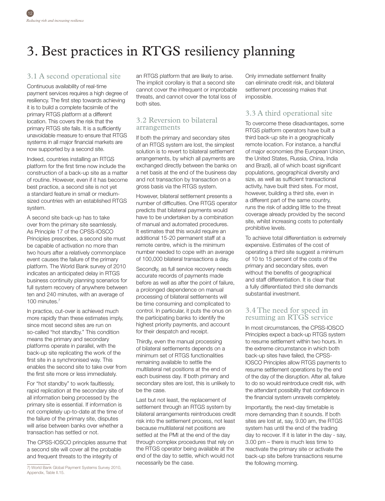# 3. Best practices in RTGS resiliency planning

# 3.1 A second operational site

Continuous availability of real-time payment services requires a high degree of resiliency. The first step towards achieving it is to build a complete facsimile of the primary RTGS platform at a different location. This covers the risk that the primary RTGS site fails. It is a sufficiently unavoidable measure to ensure that RTGS systems in all major financial markets are now supported by a second site.

Indeed, countries installing an RTGS platform for the first time now include the construction of a back-up site as a matter of routine. However, even if it has become best practice, a second site is not yet a standard feature in small or mediumsized countries with an established RTGS system.

A second site back-up has to take over from the primary site seamlessly. As Principle 17 of the CPSS-IOSCO Principles prescribes, a second site must be capable of activation no more than two hours after a relatively commonplace event causes the failure of the primary platform. The World Bank survey of 2010 indicates an anticipated delay in RTGS business continuity planning scenarios for full system recovery of anywhere between ten and 240 minutes, with an average of 100 minutes.7

In practice, cut-over is achieved much more rapidly than these estimates imply, since most second sites are run on so-called "hot standby." This condition means the primary and secondary platforms operate in parallel, with the back-up site replicating the work of the first site in a synchronised way. This enables the second site to take over from the first site more or less immediately.

For "hot standby" to work faultlessly, rapid replication at the secondary site of all information being processed by the primary site is essential. If information is not completely up-to-date at the time of the failure of the primary site, disputes will arise between banks over whether a transaction has settled or not.

The CPSS-IOSCO principles assume that a second site will cover all the probable and frequent threats to the integrity of

an RTGS platform that are likely to arise. The implicit corollary is that a second site cannot cover the infrequent or improbable threats, and cannot cover the total loss of both sites.

# 3.2 Reversion to bilateral arrangements

If both the primary and secondary sites of an RTGS system are lost, the simplest solution is to revert to bilateral settlement arrangements, by which all payments are exchanged directly between the banks on a net basis at the end of the business day and not transaction by transaction on a gross basis via the RTGS system.

However, bilateral settlement presents a number of difficulties. One RTGS operator predicts that bilateral payments would have to be undertaken by a combination of manual and automated procedures. It estimates that this would require an additional 15-20 permanent staff at a remote centre, which is the minimum number needed to cope with an average of 100,000 bilateral transactions a day.

Secondly, as full service recovery needs accurate records of payments made before as well as after the point of failure, a prolonged dependence on manual processing of bilateral settlements will be time consuming and complicated to control. In particular, it puts the onus on the participating banks to identify the highest priority payments, and account for their despatch and receipt.

Thirdly, even the manual processing of bilateral settlements depends on a minimum set of RTGS functionalities remaining available to settle the multilateral net positions at the end of each business day. If both primary and secondary sites are lost, this is unlikely to be the case.

Last but not least, the replacement of settlement through an RTGS system by bilateral arrangements reintroduces credit risk into the settlement process, not least because multilateral net positions are settled at the PMI at the end of the day through complex procedures that rely on the RTGS operator being available at the end of the day to settle, which would not necessarily be the case.

Only immediate settlement finality can eliminate credit risk, and bilateral settlement processing makes that impossible.

# 3.3 A third operational site

To overcome these disadvantages, some RTGS platform operators have built a third back-up site in a geographically remote location. For instance, a handful of major economies (the European Union, the United States, Russia, China, India and Brazil), all of which boast significant populations, geographical diversity and size, as well as sufficient transactional activity, have built third sites. For most, however, building a third site, even in a different part of the same country, runs the risk of adding little to the threat coverage already provided by the second site, whilst increasing costs to potentially prohibitive levels.

To achieve total differentiation is extremely expensive. Estimates of the cost of operating a third site suggest a minimum of 10 to 15 percent of the costs of the primary and secondary sites, even without the benefits of geographical and staff differentiation. It is clear that a fully differentiated third site demands substantial investment.

## 3.4 The need for speed in resuming an RTGS service

In most circumstances, the CPSS-IOSCO Principles expect a back-up RTGS system to resume settlement within two hours. In the extreme circumstance in which both back-up sites have failed, the CPSS-IOSCO Principles allow RTGS payments to resume settlement operations by the end of the day of the disruption. After all, failure to do so would reintroduce credit risk, with the attendant possibility that confidence in the financial system unravels completely.

Importantly, the next-day timetable is more demanding than it sounds. If both sites are lost at, say, 9.00 am, the RTGS system has until the end of the trading day to recover. If it is later in the day - say, 3.00 pm – there is much less time to reactivate the primary site or activate the back-up site before transactions resume the following morning.

<sup>7)</sup> World Bank Global Payment Systems Survey 2010, Appendix, Table II.15.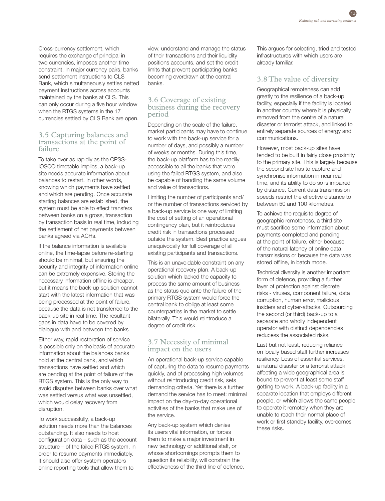Cross-currency settlement, which requires the exchange of principal in two currencies, imposes another time constraint. In major currency pairs, banks send settlement instructions to CLS Bank, which simultaneously settles netted payment instructions across accounts maintained by the banks at CLS. This can only occur during a five hour window when the RTGS systems in the 17 currencies settled by CLS Bank are open.

#### 3.5 Capturing balances and transactions at the point of failure

To take over as rapidly as the CPSS-IOSCO timetable implies, a back-up site needs accurate information about balances to restart. In other words, knowing which payments have settled and which are pending. Once accurate starting balances are established, the system must be able to effect transfers between banks on a gross, transaction by transaction basis in real time, including the settlement of net payments between banks agreed via ACHs.

If the balance information is available online, the time-lapse before re-starting should be minimal, but ensuring the security and integrity of information online can be extremely expensive. Storing the necessary information offline is cheaper, but it means the back-up solution cannot start with the latest information that was being processed at the point of failure, because the data is not transferred to the back-up site in real time. The resultant gaps in data have to be covered by dialogue with and between the banks.

Either way, rapid restoration of service is possible only on the basis of accurate information about the balances banks hold at the central bank, and which transactions have settled and which are pending at the point of failure of the RTGS system. This is the only way to avoid disputes between banks over what was settled versus what was unsettled, which would delay recovery from disruption.

To work successfully, a back-up solution needs more than the balances outstanding. It also needs to host configuration data – such as the account structure – of the failed RTGS system, in order to resume payments immediately. It should also offer system operators online reporting tools that allow them to

view, understand and manage the status of their transactions and their liquidity positions accounts, and set the credit limits that prevent participating banks becoming overdrawn at the central banks.

### 3.6 Coverage of existing business during the recovery period

Depending on the scale of the failure, market participants may have to continue to work with the back-up service for a number of days, and possibly a number of weeks or months. During this time, the back-up platform has to be readily accessible to all the banks that were using the failed RTGS system, and also be capable of handling the same volume and value of transactions.

Limiting the number of participants and/ or the number of transactions serviced by a back-up service is one way of limiting the cost of setting of an operational contingency plan, but it reintroduces credit risk in transactions processed outside the system. Best practice argues unequivocally for full coverage of all existing participants and transactions.

This is an unavoidable constraint on any operational recovery plan. A back-up solution which lacked the capacity to process the same amount of business as the status quo ante the failure of the primary RTGS system would force the central bank to oblige at least some counterparties in the market to settle bilaterally. This would reintroduce a degree of credit risk.

### 3.7 Necessity of minimal impact on the users

An operational back-up service capable of capturing the data to resume payments quickly, and of processing high volumes without reintroducing credit risk, sets demanding criteria. Yet there is a further demand the service has to meet: minimal impact on the day-to-day operational activities of the banks that make use of the service.

Any back-up system which denies its users vital information, or forces them to make a major investment in new technology or additional staff, or whose shortcomings prompts them to question its reliability, will constrain the effectiveness of the third line of defence. This argues for selecting, tried and tested infrastructures with which users are already familiar.

# 3.8 The value of diversity

Geographical remoteness can add greatly to the resilience of a back-up facility, especially if the facility is located in another country where it is physically removed from the centre of a natural disaster or terrorist attack, and linked to entirely separate sources of energy and communications.

However, most back-up sites have tended to be built in fairly close proximity to the primary site. This is largely because the second site has to capture and synchronise information in near real time, and its ability to do so is impaired by distance. Current data transmission speeds restrict the effective distance to between 50 and 100 kilometres.

To achieve the requisite degree of geographic remoteness, a third site must sacrifice some information about payments completed and pending at the point of failure, either because of the natural latency of online data transmissions or because the data was stored offline, in batch mode.

Technical diversity is another important form of defence, providing a further layer of protection against discrete risks - viruses, component failure, data corruption, human error, malicious insiders and cyber-attacks. Outsourcing the second (or third) back-up to a separate and wholly independent operator with distinct dependencies reducess the associated risks.

Last but not least, reducing reliance on locally based staff further increases resiliency. Loss of essential services, a natural disaster or a terrorist attack affecting a wide geographical area is bound to prevent at least some staff getting to work. A back-up facility in a separate location that employs different people, or which allows the same people to operate it remotely when they are unable to reach their normal place of work or first standby facility, overcomes these risks.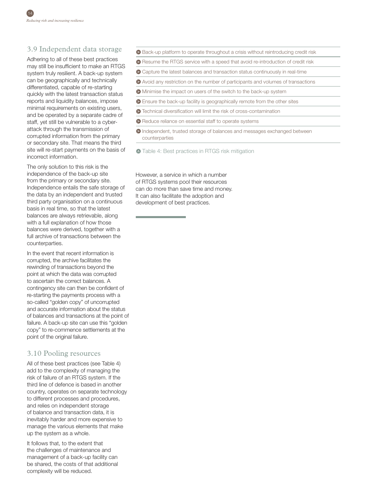# 3.9 Independent data storage

Adhering to all of these best practices may still be insufficient to make an RTGS system truly resilient. A back-up system can be geographically and technically differentiated, capable of re-starting quickly with the latest transaction status reports and liquidity balances, impose minimal requirements on existing users, and be operated by a separate cadre of staff, yet still be vulnerable to a cyberattack through the transmission of corrupted information from the primary or secondary site. That means the third site will re-start payments on the basis of incorrect information.

The only solution to this risk is the independence of the back-up site from the primary or secondary site. Independence entails the safe storage of the data by an independent and trusted third party organisation on a continuous basis in real time, so that the latest balances are always retrievable, along with a full explanation of how those balances were derived, together with a full archive of transactions between the counterparties.

In the event that recent information is corrupted, the archive facilitates the rewinding of transactions beyond the point at which the data was corrupted to ascertain the correct balances. A contingency site can then be confident of re-starting the payments process with a so-called "golden copy" of uncorrupted and accurate information about the status of balances and transactions at the point of failure. A back-up site can use this "golden copy" to re-commence settlements at the point of the original failure.

# 3.10 Pooling resources

All of these best practices (see Table 4) add to the complexity of managing the risk of failure of an RTGS system. If the third line of defence is based in another country, operates on separate technology to different processes and procedures, and relies on independent storage of balance and transaction data, it is inevitably harder and more expensive to manage the various elements that make up the system as a whole.

It follows that, to the extent that the challenges of maintenance and management of a back-up facility can be shared, the costs of that additional complexity will be reduced.

- Back-up platform to operate throughout a crisis without reintroducing credit risk
- Resume the RTGS service with a speed that avoid re-introduction of credit risk
- Capture the latest balances and transaction status continuously in real-time
- Avoid any restriction on the number of participants and volumes of transactions
- Minimise the impact on users of the switch to the back-up system
- Ensure the back-up facility is geographically remote from the other sites
- Technical diversification will limit the risk of cross-contamination
- **•** Reduce reliance on essential staff to operate systems
- Independent, trusted storage of balances and messages exchanged between counterparties
- $\bullet$  Table 4: Best practices in RTGS risk mitigation

However, a service in which a number of RTGS systems pool their resources can do more than save time and money. It can also facilitate the adoption and development of best practices.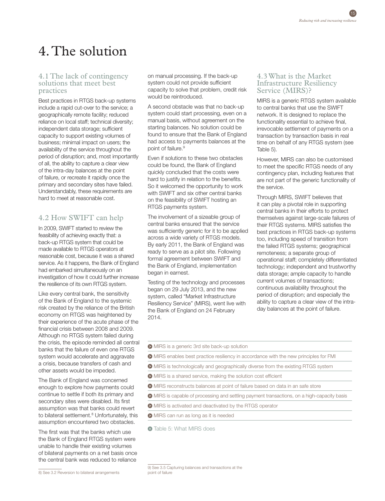# 4. The solution

#### 4.1 The lack of contingency solutions that meet best practices

Best practices in RTGS back-up systems include a rapid cut-over to the service; a geographically remote facility; reduced reliance on local staff; technical diversity; independent data storage; sufficient capacity to support existing volumes of business; minimal impact on users; the availability of the service throughout the period of disruption; and, most importantly of all, the ability to capture a clear view of the intra-day balances at the point of failure, or recreate it rapidly once the primary and secondary sites have failed. Understandably, these requirements are hard to meet at reasonable cost.

# 4.2 How SWIFT can help

In 2009, SWIFT started to review the feasibility of achieving exactly that: a back-up RTGS system that could be made available to RTGS operators at reasonable cost, because it was a shared service. As it happens, the Bank of England had embarked simultaneously on an investigation of how it could further increase the resilience of its own RTGS system.

Like every central bank, the sensitivity of the Bank of England to the systemic risk created by the reliance of the British economy on RTGS was heightened by their experience of the acute phase of the financial crisis between 2008 and 2009. Although no RTGS system failed during the crisis, the episode reminded all central banks that the failure of even one RTGS system would accelerate and aggravate a crisis, because transfers of cash and other assets would be impeded.

The Bank of England was concerned enough to explore how payments could continue to settle if both its primary and secondary sites were disabled. Its first assumption was that banks could revert to bilateral settlement.<sup>8</sup> Unfortunately, this assumption encountered two obstacles.

The first was that the banks which use the Bank of England RTGS system were unable to handle their existing volumes of bilateral payments on a net basis once the central bank was reduced to reliance

on manual processing. If the back-up system could not provide sufficient capacity to solve that problem, credit risk would be reintroduced.

A second obstacle was that no back-up system could start processing, even on a manual basis, without agreement on the starting balances. No solution could be found to ensure that the Bank of England had access to payments balances at the point of failure.<sup>9</sup>

Even if solutions to these two obstacles could be found, the Bank of England quickly concluded that the costs were hard to justify in relation to the benefits. So it welcomed the opportunity to work with SWIFT and six other central banks on the feasibility of SWIFT hosting an RTGS payments system.

The involvement of a sizeable group of central banks ensured that the service was sufficiently generic for it to be applied across a wide variety of RTGS models. By early 2011, the Bank of England was ready to serve as a pilot site. Following formal agreement between SWIFT and the Bank of England, implementation began in earnest.

Testing of the technology and processes began on 29 July 2013, and the new system, called "Market Infrastructure Resiliency Service" (MIRS), went live with the Bank of England on 24 February 2014.

#### 4.3 What is the Market Infrastructure Resiliency Service (MIRS)?

MIRS is a generic RTGS system available to central banks that use the SWIFT network. It is designed to replace the functionality essential to achieve final, irrevocable settlement of payments on a transaction by transaction basis in real time on behalf of any RTGS system (see Table 5).

However, MIRS can also be customised to meet the specific RTGS needs of any contingency plan, including features that are not part of the generic functionality of the service.

Through MIRS, SWIFT believes that it can play a pivotal role in supporting central banks in their efforts to protect themselves against large-scale failures of their RTGS systems. MIRS satisfies the best practices in RTGS back-up systems too, including speed of transition from the failed RTGS systems; geographical remoteness; a separate group of operational staff; completely differentiated technology; independent and trustworthy data storage; ample capacity to handle current volumes of transactions; continuous availability throughout the period of disruption; and especially the ability to capture a clear view of the intraday balances at the point of failure.

- MIRS is a generic 3rd site back-up solution
- MIRS enables best practice resiliency in accordance with the new principles for FMI
- MIRS is technologically and geographically diverse from the existing RTGS system
- MIRS is a shared service, making the solution cost efficient
- MIRS reconstructs balances at point of failure based on data in an safe store
- MIRS is capable of processing and settling payment transactions, on a high-capacity basis
- MIRS is activated and deactivated by the RTGS operator
- MIRS can run as long as it is needed

 $\bullet$  Table 5: What MIRS does

8) See 3.2 Reversion to bilateral arrangements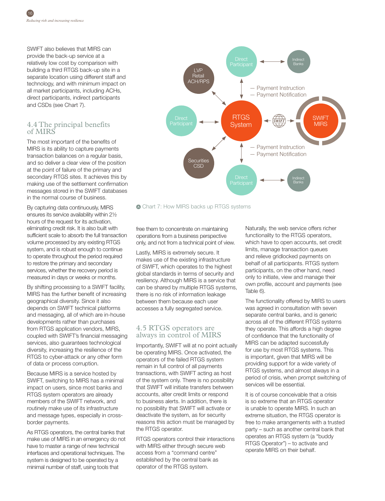SWIFT also believes that MIRS can provide the back-up service at a relatively low cost by comparison with building a third RTGS back-up site in a separate location using different staff and technology, and with minimum impact on all market participants, including ACHs, direct participants, indirect participants and CSDs (see Chart 7).

# 4.4 The principal benefits of MIRS

The most important of the benefits of MIRS is its ability to capture payments transaction balances on a regular basis, and so deliver a clear view of the position at the point of failure of the primary and secondary RTGS sites. It achieves this by making use of the settlement confirmation messages stored in the SWIFT databases in the normal course of business.

By capturing data continuously, MIRS ensures its service availability within 2½ hours of the request for its activation, eliminating credit risk. It is also built with sufficient scale to absorb the full transaction volume processed by any existing RTGS system, and is robust enough to continue to operate throughout the period required to restore the primary and secondary services, whether the recovery period is measured in days or weeks or months.

By shifting processing to a SWIFT facility, MIRS has the further benefit of increasing geographical diversity. Since it also depends on SWIFT technical platforms and messaging, all of which are in-house developments rather than purchases from RTGS application vendors, MIRS, coupled with SWIFT's financial messaging services, also guarantees technological diversity, increasing the resilience of the RTGS to cyber-attack or any other form of data or process corruption.

Because MIRS is a service hosted by SWIFT, switching to MIRS has a minimal impact on users, since most banks and RTGS system operators are already members of the SWIFT network, and routinely make use of its infrastructure and message types, especially in crossborder payments.

As RTGS operators, the central banks that make use of MIRS in an emergency do not have to master a range of new technical interfaces and operational techniques. The system is designed to be operated by a minimal number of staff, using tools that



Chart 7: How MIRS backs up RTGS systems

free them to concentrate on maintaining operations from a business perspective only, and not from a technical point of view.

Lastly, MIRS is extremely secure. It makes use of the existing infrastructure of SWIFT, which operates to the highest global standards in terms of security and resiliency. Although MIRS is a service that can be shared by multiple RTGS systems, there is no risk of information leakage between them because each user accesses a fully segregated service.

# 4.5 RTGS operators are always in control of MIRS

Importantly, SWIFT will at no point actually be operating MIRS. Once activated, the operators of the failed RTGS system remain in full control of all payments transactions, with SWIFT acting as host of the system only. There is no possibility that SWIFT will initiate transfers between accounts, alter credit limits or respond to business alerts. In addition, there is no possibility that SWIFT will activate or deactivate the system, as for security reasons this action must be managed by the RTGS operator.

RTGS operators control their interactions with MIRS either through secure web access from a "command centre" established by the central bank as operator of the RTGS system.

Naturally, the web service offers richer functionality to the RTGS operators. which have to open accounts, set credit limits, manage transaction queues and relieve gridlocked payments on behalf of all participants. RTGS system participants, on the other hand, need only to initiate, view and manage their own profile, account and payments (see Table 6).

The functionality offered by MIRS to users was agreed in consultation with seven separate central banks, and is generic across all of the different RTGS systems they operate. This affords a high degree of confidence that the functionality of MIRS can be adapted successfully for use by most RTGS systems. This is important, given that MIRS will be providing support for a wide variety of RTGS systems, and almost always in a period of crisis, when prompt switching of services will be essential.

It is of course conceivable that a crisis is so extreme that an RTGS operator is unable to operate MIRS. In such an extreme situation, the RTGS operator is free to make arrangements with a trusted party – such as another central bank that operates an RTGS system (a "buddy RTGS Operator") – to activate and operate MIRS on their behalf.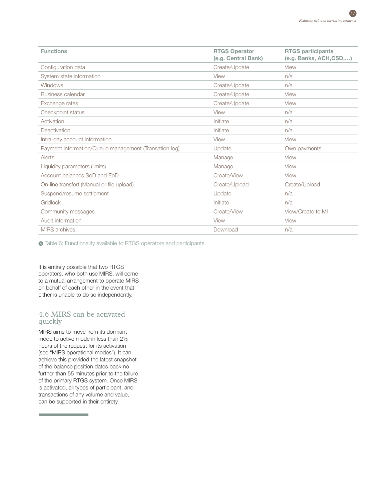| <b>Functions</b>                                      | <b>RTGS Operator</b><br>(e.g. Central Bank) | <b>RTGS participants</b><br>(e.g. Banks, ACH,CSD,) |
|-------------------------------------------------------|---------------------------------------------|----------------------------------------------------|
| Configuration data                                    | Create/Update                               | View                                               |
| System state information                              | View                                        | n/a                                                |
| <b>Windows</b>                                        | Create/Update                               | n/a                                                |
| Business calendar                                     | Create/Update                               | View                                               |
| Exchange rates                                        | Create/Update                               | View                                               |
| Checkpoint status                                     | View                                        | n/a                                                |
| Activation                                            | Initiate                                    | n/a                                                |
| Deactivation                                          | Initiate                                    | n/a                                                |
| Intra-day account information                         | View                                        | View                                               |
| Payment Information/Queue management (Transation log) | Update                                      | Own payments                                       |
| Alerts                                                | Manage                                      | View                                               |
| Liquidity parameters (limits)                         | Manage                                      | View                                               |
| Account balances SoD and EoD                          | Create/View                                 | View                                               |
| On-line transfert (Manual or file upload)             | Create/Upload                               | Create/Upload                                      |
| Suspend/resume settlement                             | Update                                      | n/a                                                |
| Gridlock                                              | Initiate                                    | n/a                                                |
| Community messages                                    | Create/View                                 | View/Create to MI                                  |
| Audit information                                     | View                                        | View                                               |
| <b>MIRS</b> archives                                  | Download                                    | n/a                                                |

Table 6: Functionality available to RTGS operators and participants

It is entirely possible that two RTGS operators, who both use MIRS, will come to a mutual arrangement to operate MIRS on behalf of each other in the event that either is unable to do so independently.

## 4.6 MIRS can be activated quickly

MIRS aims to move from its dormant mode to active mode in less than 2½ hours of the request for its activation (see "MIRS operational modes"). It can achieve this provided the latest snapshot of the balance position dates back no further than 55 minutes prior to the failure of the primary RTGS system. Once MIRS is activated, all types of participant, and transactions of any volume and value, can be supported in their entirety.

<u> 1989 - Johann Barnett, martin ba</u>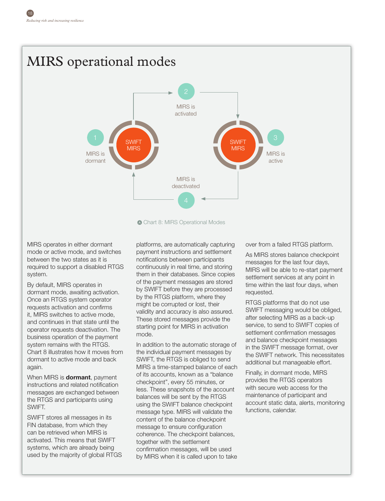# $1$   $\sqrt{ }$   $\approx$   $\sqrt{ }$   $\approx$   $\sqrt{ }$   $\approx$   $\sqrt{ }$   $\approx$   $\sqrt{ }$   $\approx$   $\sqrt{ }$   $\approx$   $\sqrt{ }$   $\approx$   $\sqrt{ }$   $\approx$   $\sqrt{ }$   $\approx$   $\sqrt{ }$   $\approx$   $\sqrt{ }$   $\approx$   $\sqrt{ }$   $\approx$   $\sqrt{ }$   $\approx$   $\sqrt{ }$   $\approx$   $\sqrt{ }$   $\approx$   $\sqrt{ }$   $\approx$   $\sqrt{ }$   $\approx$   $\sqrt{ }$   $\approx$  MIRS is dormant MIRS is active MIRS is activated 2 **SWIFT** MIRS SWIFT MIRS MIRS operational modes

MIRS operates in either dormant mode or active mode, and switches between the two states as it is required to support a disabled RTGS

By default, MIRS operates in dormant mode, awaiting activation. Once an RTGS system operator requests activation and confirms it, MIRS switches to active mode, and continues in that state until the operator requests deactivation. The business operation of the payment system remains with the RTGS. Chart 8 illustrates how it moves from dormant to active mode and back again.

system.

When MIRS is **dormant**, payment instructions and related notification messages are exchanged between the RTGS and participants using SWIFT.

SWIFT stores all messages in its FIN database, from which they can be retrieved when MIRS is activated. This means that SWIFT systems, which are already being used by the majority of global RTGS

platforms, are automatically capturing payment instructions and settlement notifications between participants continuously in real time, and storing them in their databases. Since copies of the payment messages are stored by SWIFT before they are processed by the RTGS platform, where they might be corrupted or lost, their validity and accuracy is also assured. These stored messages provide the starting point for MIRS in activation mode.

Chart 8: MIRS Operational Modes

MIRS is deactivated

In addition to the automatic storage of the individual payment messages by SWIFT, the RTGS is obliged to send MIRS a time-stamped balance of each of its accounts, known as a "balance checkpoint", every 55 minutes, or less. These snapshots of the account balances will be sent by the RTGS using the SWIFT balance checkpoint message type. MIRS will validate the content of the balance checkpoint message to ensure configuration coherence. The checkpoint balances, together with the settlement confirmation messages, will be used by MIRS when it is called upon to take

over from a failed RTGS platform.

As MIRS stores balance checkpoint messages for the last four days, MIRS will be able to re-start payment settlement services at any point in time within the last four days, when requested.

RTGS platforms that do not use SWIFT messaging would be obliged, after selecting MIRS as a back-up service, to send to SWIFT copies of settlement confirmation messages and balance checkpoint messages in the SWIFT message format, over the SWIFT network. This necessitates additional but manageable effort.

Finally, in dormant mode, MIRS provides the RTGS operators with secure web access for the maintenance of participant and account static data, alerts, monitoring functions, calendar.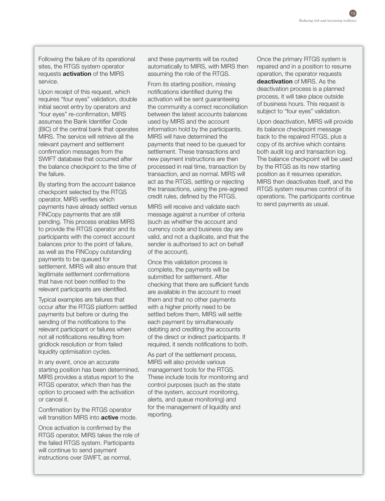Following the failure of its operational sites, the RTGS system operator requests **activation** of the MIRS service.

Upon receipt of this request, which requires "four eyes" validation, double initial secret entry by operators and "four eyes" re-confirmation, MIRS assumes the Bank Identifier Code (BIC) of the central bank that operates MIRS. The service will retrieve all the relevant payment and settlement confirmation messages from the SWIFT database that occurred after the balance checkpoint to the time of the failure.

By starting from the account balance checkpoint selected by the RTGS operator, MIRS verifies which payments have already settled versus FINCopy payments that are still pending. This process enables MIRS to provide the RTGS operator and its participants with the correct account balances prior to the point of failure, as well as the FINCopy outstanding payments to be queued for settlement. MIRS will also ensure that legitimate settlement confirmations that have not been notified to the relevant participants are identified.

Typical examples are failures that occur after the RTGS platform settled payments but before or during the sending of the notifications to the relevant participant or failures when not all notifications resulting from gridlock resolution or from failed liquidity optimisation cycles.

In any event, once an accurate starting position has been determined, MIRS provides a status report to the RTGS operator, which then has the option to proceed with the activation or cancel it.

Confirmation by the RTGS operator will transition MIRS into **active** mode.

Once activation is confirmed by the RTGS operator, MIRS takes the role of the failed RTGS system. Participants will continue to send payment instructions over SWIFT, as normal,

and these payments will be routed automatically to MIRS, with MIRS then assuming the role of the RTGS.

From its starting position, missing notifications identified during the activation will be sent guaranteeing the community a correct reconciliation between the latest accounts balances used by MIRS and the account information hold by the participants. MIRS will have determined the payments that need to be queued for settlement. These transactions and new payment instructions are then processed in real time, transaction by transaction, and as normal. MIRS will act as the RTGS, settling or rejecting the transactions, using the pre-agreed credit rules, defined by the RTGS.

MIRS will receive and validate each message against a number of criteria (such as whether the account and currency code and business day are valid, and not a duplicate, and that the sender is authorised to act on behalf of the account).

Once this validation process is complete, the payments will be submitted for settlement. After checking that there are sufficient funds are available in the account to meet them and that no other payments with a higher priority need to be settled before them, MIRS will settle each payment by simultaneously debiting and crediting the accounts of the direct or indirect participants. If required, it sends notifications to both.

As part of the settlement process, MIRS will also provide various management tools for the RTGS. These include tools for monitoring and control purposes (such as the state of the system, account monitoring, alerts, and queue monitoring) and for the management of liquidity and reporting.

Once the primary RTGS system is repaired and in a position to resume operation, the operator requests **deactivation** of MIRS. As the deactivation process is a planned process, it will take place outside of business hours. This request is subject to "four eyes" validation.

Upon deactivation, MIRS will provide its balance checkpoint message back to the repaired RTGS, plus a copy of its archive which contains both audit log and transaction log. The balance checkpoint will be used by the RTGS as its new starting position as it resumes operation. MIRS then deactivates itself, and the RTGS system resumes control of its operations. The participants continue to send payments as usual.